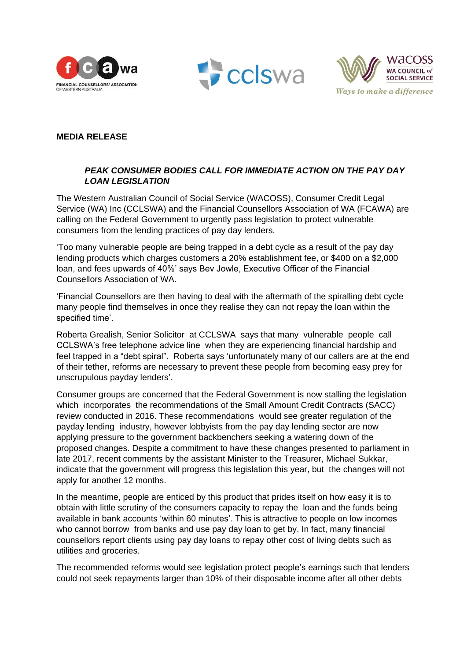





## **MEDIA RELEASE**

## *PEAK CONSUMER BODIES CALL FOR IMMEDIATE ACTION ON THE PAY DAY LOAN LEGISLATION*

The Western Australian Council of Social Service (WACOSS), Consumer Credit Legal Service (WA) Inc (CCLSWA) and the Financial Counsellors Association of WA (FCAWA) are calling on the Federal Government to urgently pass legislation to protect vulnerable consumers from the lending practices of pay day lenders.

'Too many vulnerable people are being trapped in a debt cycle as a result of the pay day lending products which charges customers a 20% establishment fee, or \$400 on a \$2,000 loan, and fees upwards of 40%' says Bev Jowle, Executive Officer of the Financial Counsellors Association of WA.

'Financial Counsellors are then having to deal with the aftermath of the spiralling debt cycle many people find themselves in once they realise they can not repay the loan within the specified time'.

Roberta Grealish, Senior Solicitor at CCLSWA says that many vulnerable people call CCLSWA's free telephone advice line when they are experiencing financial hardship and feel trapped in a "debt spiral". Roberta says 'unfortunately many of our callers are at the end of their tether, reforms are necessary to prevent these people from becoming easy prey for unscrupulous payday lenders'.

Consumer groups are concerned that the Federal Government is now stalling the legislation which incorporates the recommendations of the Small Amount Credit Contracts (SACC) review conducted in 2016. These recommendations would see greater regulation of the payday lending industry, however lobbyists from the pay day lending sector are now applying pressure to the government backbenchers seeking a watering down of the proposed changes. Despite a commitment to have these changes presented to parliament in late 2017, recent comments by the assistant Minister to the Treasurer, Michael Sukkar, indicate that the government will progress this legislation this year, but the changes will not apply for another 12 months.

In the meantime, people are enticed by this product that prides itself on how easy it is to obtain with little scrutiny of the consumers capacity to repay the loan and the funds being available in bank accounts 'within 60 minutes'. This is attractive to people on low incomes who cannot borrow from banks and use pay day loan to get by. In fact, many financial counsellors report clients using pay day loans to repay other cost of living debts such as utilities and groceries.

The recommended reforms would see legislation protect people's earnings such that lenders could not seek repayments larger than 10% of their disposable income after all other debts